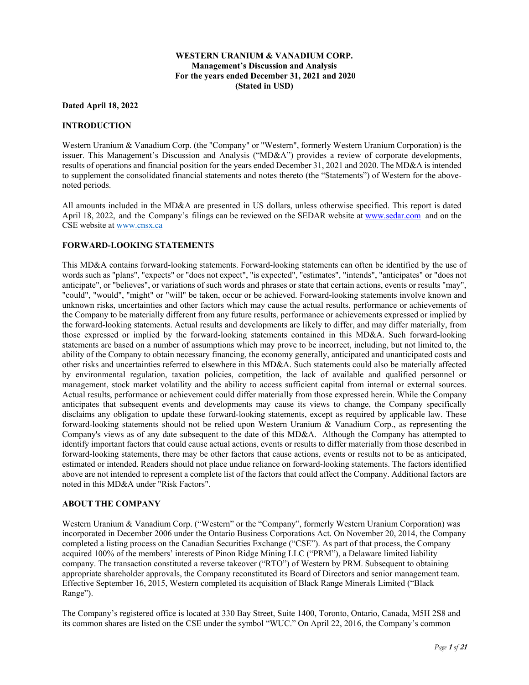### **WESTERN URANIUM & VANADIUM CORP. Management's Discussion and Analysis For the years ended December 31, 2021 and 2020 (Stated in USD)**

### **Dated April 18, 2022**

#### **INTRODUCTION**

Western Uranium & Vanadium Corp. (the "Company" or "Western", formerly Western Uranium Corporation) is the issuer. This Management's Discussion and Analysis ("MD&A") provides a review of corporate developments, results of operations and financial position for the years ended December 31, 2021 and 2020. The MD&A is intended to supplement the consolidated financial statements and notes thereto (the "Statements") of Western for the abovenoted periods.

All amounts included in the MD&A are presented in US dollars, unless otherwise specified. This report is dated April 18, 2022, and the Company's filings can be reviewed on the SEDAR website at www.sedar.com and on the CSE website at www.cnsx.ca

#### **FORWARD-LOOKING STATEMENTS**

This MD&A contains forward-looking statements. Forward-looking statements can often be identified by the use of words such as "plans", "expects" or "does not expect", "is expected", "estimates", "intends", "anticipates" or "does not anticipate", or "believes", or variations of such words and phrases or state that certain actions, events or results "may", "could", "would", "might" or "will" be taken, occur or be achieved. Forward-looking statements involve known and unknown risks, uncertainties and other factors which may cause the actual results, performance or achievements of the Company to be materially different from any future results, performance or achievements expressed or implied by the forward-looking statements. Actual results and developments are likely to differ, and may differ materially, from those expressed or implied by the forward-looking statements contained in this MD&A. Such forward-looking statements are based on a number of assumptions which may prove to be incorrect, including, but not limited to, the ability of the Company to obtain necessary financing, the economy generally, anticipated and unanticipated costs and other risks and uncertainties referred to elsewhere in this MD&A. Such statements could also be materially affected by environmental regulation, taxation policies, competition, the lack of available and qualified personnel or management, stock market volatility and the ability to access sufficient capital from internal or external sources. Actual results, performance or achievement could differ materially from those expressed herein. While the Company anticipates that subsequent events and developments may cause its views to change, the Company specifically disclaims any obligation to update these forward-looking statements, except as required by applicable law. These forward-looking statements should not be relied upon Western Uranium & Vanadium Corp., as representing the Company's views as of any date subsequent to the date of this MD&A. Although the Company has attempted to identify important factors that could cause actual actions, events or results to differ materially from those described in forward-looking statements, there may be other factors that cause actions, events or results not to be as anticipated, estimated or intended. Readers should not place undue reliance on forward-looking statements. The factors identified above are not intended to represent a complete list of the factors that could affect the Company. Additional factors are noted in this MD&A under "Risk Factors".

#### **ABOUT THE COMPANY**

Western Uranium & Vanadium Corp. ("Western" or the "Company", formerly Western Uranium Corporation) was incorporated in December 2006 under the Ontario Business Corporations Act. On November 20, 2014, the Company completed a listing process on the Canadian Securities Exchange ("CSE"). As part of that process, the Company acquired 100% of the members' interests of Pinon Ridge Mining LLC ("PRM"), a Delaware limited liability company. The transaction constituted a reverse takeover ("RTO") of Western by PRM. Subsequent to obtaining appropriate shareholder approvals, the Company reconstituted its Board of Directors and senior management team. Effective September 16, 2015, Western completed its acquisition of Black Range Minerals Limited ("Black Range").

The Company's registered office is located at 330 Bay Street, Suite 1400, Toronto, Ontario, Canada, M5H 2S8 and its common shares are listed on the CSE under the symbol "WUC." On April 22, 2016, the Company's common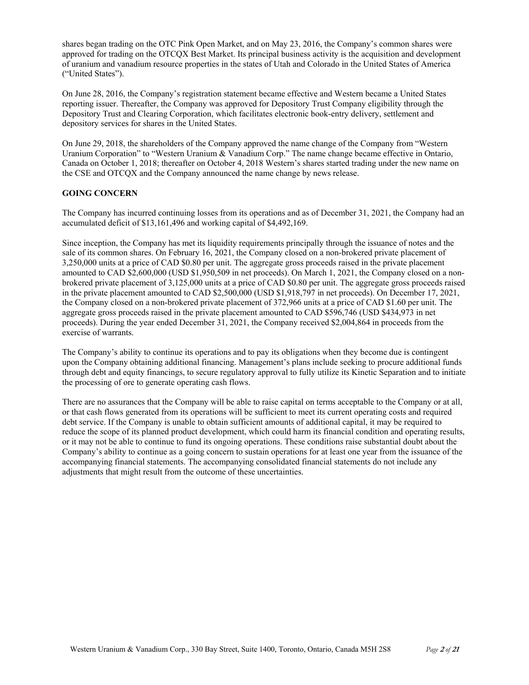shares began trading on the OTC Pink Open Market, and on May 23, 2016, the Company's common shares were approved for trading on the OTCQX Best Market. Its principal business activity is the acquisition and development of uranium and vanadium resource properties in the states of Utah and Colorado in the United States of America ("United States").

On June 28, 2016, the Company's registration statement became effective and Western became a United States reporting issuer. Thereafter, the Company was approved for Depository Trust Company eligibility through the Depository Trust and Clearing Corporation, which facilitates electronic book-entry delivery, settlement and depository services for shares in the United States.

On June 29, 2018, the shareholders of the Company approved the name change of the Company from "Western Uranium Corporation" to "Western Uranium & Vanadium Corp." The name change became effective in Ontario, Canada on October 1, 2018; thereafter on October 4, 2018 Western's shares started trading under the new name on the CSE and OTCQX and the Company announced the name change by news release.

## **GOING CONCERN**

The Company has incurred continuing losses from its operations and as of December 31, 2021, the Company had an accumulated deficit of \$13,161,496 and working capital of \$4,492,169.

Since inception, the Company has met its liquidity requirements principally through the issuance of notes and the sale of its common shares. On February 16, 2021, the Company closed on a non-brokered private placement of 3,250,000 units at a price of CAD \$0.80 per unit. The aggregate gross proceeds raised in the private placement amounted to CAD \$2,600,000 (USD \$1,950,509 in net proceeds). On March 1, 2021, the Company closed on a nonbrokered private placement of 3,125,000 units at a price of CAD \$0.80 per unit. The aggregate gross proceeds raised in the private placement amounted to CAD \$2,500,000 (USD \$1,918,797 in net proceeds). On December 17, 2021, the Company closed on a non-brokered private placement of 372,966 units at a price of CAD \$1.60 per unit. The aggregate gross proceeds raised in the private placement amounted to CAD \$596,746 (USD \$434,973 in net proceeds). During the year ended December 31, 2021, the Company received \$2,004,864 in proceeds from the exercise of warrants.

The Company's ability to continue its operations and to pay its obligations when they become due is contingent upon the Company obtaining additional financing. Management's plans include seeking to procure additional funds through debt and equity financings, to secure regulatory approval to fully utilize its Kinetic Separation and to initiate the processing of ore to generate operating cash flows.

There are no assurances that the Company will be able to raise capital on terms acceptable to the Company or at all, or that cash flows generated from its operations will be sufficient to meet its current operating costs and required debt service. If the Company is unable to obtain sufficient amounts of additional capital, it may be required to reduce the scope of its planned product development, which could harm its financial condition and operating results, or it may not be able to continue to fund its ongoing operations. These conditions raise substantial doubt about the Company's ability to continue as a going concern to sustain operations for at least one year from the issuance of the accompanying financial statements. The accompanying consolidated financial statements do not include any adjustments that might result from the outcome of these uncertainties.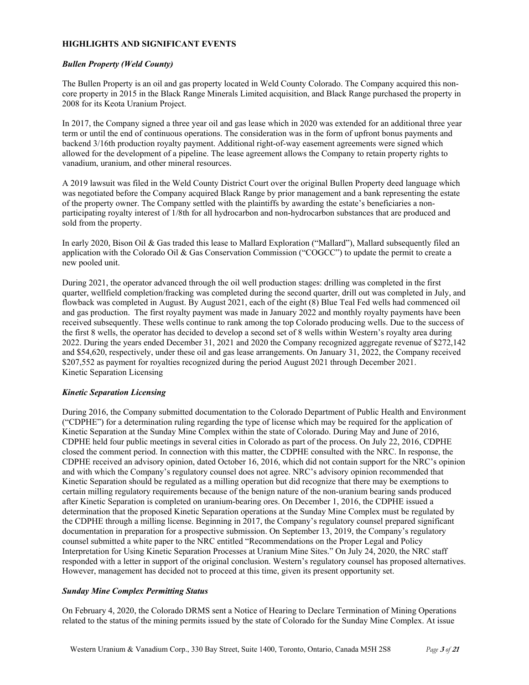#### **HIGHLIGHTS AND SIGNIFICANT EVENTS**

### *Bullen Property (Weld County)*

The Bullen Property is an oil and gas property located in Weld County Colorado. The Company acquired this noncore property in 2015 in the Black Range Minerals Limited acquisition, and Black Range purchased the property in 2008 for its Keota Uranium Project.

In 2017, the Company signed a three year oil and gas lease which in 2020 was extended for an additional three year term or until the end of continuous operations. The consideration was in the form of upfront bonus payments and backend 3/16th production royalty payment. Additional right-of-way easement agreements were signed which allowed for the development of a pipeline. The lease agreement allows the Company to retain property rights to vanadium, uranium, and other mineral resources.

A 2019 lawsuit was filed in the Weld County District Court over the original Bullen Property deed language which was negotiated before the Company acquired Black Range by prior management and a bank representing the estate of the property owner. The Company settled with the plaintiffs by awarding the estate's beneficiaries a nonparticipating royalty interest of 1/8th for all hydrocarbon and non-hydrocarbon substances that are produced and sold from the property.

In early 2020, Bison Oil & Gas traded this lease to Mallard Exploration ("Mallard"), Mallard subsequently filed an application with the Colorado Oil & Gas Conservation Commission ("COGCC") to update the permit to create a new pooled unit.

During 2021, the operator advanced through the oil well production stages: drilling was completed in the first quarter, wellfield completion/fracking was completed during the second quarter, drill out was completed in July, and flowback was completed in August. By August 2021, each of the eight (8) Blue Teal Fed wells had commenced oil and gas production. The first royalty payment was made in January 2022 and monthly royalty payments have been received subsequently. These wells continue to rank among the top Colorado producing wells. Due to the success of the first 8 wells, the operator has decided to develop a second set of 8 wells within Western's royalty area during 2022. During the years ended December 31, 2021 and 2020 the Company recognized aggregate revenue of \$272,142 and \$54,620, respectively, under these oil and gas lease arrangements. On January 31, 2022, the Company received \$207,552 as payment for royalties recognized during the period August 2021 through December 2021. Kinetic Separation Licensing

## *Kinetic Separation Licensing*

During 2016, the Company submitted documentation to the Colorado Department of Public Health and Environment ("CDPHE") for a determination ruling regarding the type of license which may be required for the application of Kinetic Separation at the Sunday Mine Complex within the state of Colorado. During May and June of 2016, CDPHE held four public meetings in several cities in Colorado as part of the process. On July 22, 2016, CDPHE closed the comment period. In connection with this matter, the CDPHE consulted with the NRC. In response, the CDPHE received an advisory opinion, dated October 16, 2016, which did not contain support for the NRC's opinion and with which the Company's regulatory counsel does not agree. NRC's advisory opinion recommended that Kinetic Separation should be regulated as a milling operation but did recognize that there may be exemptions to certain milling regulatory requirements because of the benign nature of the non-uranium bearing sands produced after Kinetic Separation is completed on uranium-bearing ores. On December 1, 2016, the CDPHE issued a determination that the proposed Kinetic Separation operations at the Sunday Mine Complex must be regulated by the CDPHE through a milling license. Beginning in 2017, the Company's regulatory counsel prepared significant documentation in preparation for a prospective submission. On September 13, 2019, the Company's regulatory counsel submitted a white paper to the NRC entitled "Recommendations on the Proper Legal and Policy Interpretation for Using Kinetic Separation Processes at Uranium Mine Sites." On July 24, 2020, the NRC staff responded with a letter in support of the original conclusion. Western's regulatory counsel has proposed alternatives. However, management has decided not to proceed at this time, given its present opportunity set.

#### *Sunday Mine Complex Permitting Status*

On February 4, 2020, the Colorado DRMS sent a Notice of Hearing to Declare Termination of Mining Operations related to the status of the mining permits issued by the state of Colorado for the Sunday Mine Complex. At issue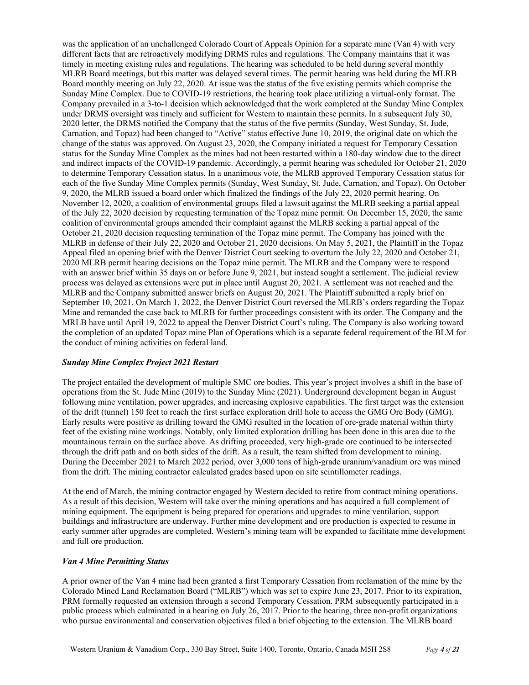was the application of an unchallenged Colorado Court of Appeals Opinion for a separate mine (Van 4) with very different facts that are retroactively modifying DRMS rules and regulations. The Company maintains that it was timely in meeting existing rules and regulations. The hearing was scheduled to be held during several monthly MLRB Board meetings, but this matter was delayed several times. The permit hearing was held during the MLRB Board monthly meeting on July 22, 2020. At issue was the status of the five existing permits which comprise the Sunday Mine Complex. Due to COVID-19 restrictions, the hearing took place utilizing a virtual-only format. The Company prevailed in a 3-to-1 decision which acknowledged that the work completed at the Sunday Mine Complex under DRMS oversight was timely and sufficient for Western to maintain these permits. In a subsequent July 30, 2020 letter, the DRMS notified the Company that the status of the five permits (Sunday, West Sunday, St. Jude, Carnation, and Topaz) had been changed to "Active" status effective June 10, 2019, the original date on which the change of the status was approved. On August 23, 2020, the Company initiated a request for Temporary Cessation status for the Sunday Mine Complex as the mines had not been restarted within a 180-day window due to the direct and indirect impacts of the COVID-19 pandemic. Accordingly, a permit hearing was scheduled for October 21, 2020 to determine Temporary Cessation status. In a unanimous vote, the MLRB approved Temporary Cessation status for each of the five Sunday Mine Complex permits (Sunday, West Sunday, St. Jude, Carnation, and Topaz). On October 9, 2020, the MLRB issued a board order which finalized the findings of the July 22, 2020 permit hearing. On November 12, 2020, a coalition of environmental groups filed a lawsuit against the MLRB seeking a partial appeal of the July 22, 2020 decision by requesting termination of the Topaz mine permit. On December 15, 2020, the same coalition of environmental groups amended their complaint against the MLRB seeking a partial appeal of the October 21, 2020 decision requesting termination of the Topaz mine permit. The Company has joined with the MLRB in defense of their July 22, 2020 and October 21, 2020 decisions. On May 5, 2021, the Plaintiff in the Topaz Appeal filed an opening brief with the Denver District Court seeking to overturn the July 22, 2020 and October 21, 2020 MLRB permit hearing decisions on the Topaz mine permit. The MLRB and the Company were to respond with an answer brief within 35 days on or before June 9, 2021, but instead sought a settlement. The judicial review process was delayed as extensions were put in place until August 20, 2021. A settlement was not reached and the MLRB and the Company submitted answer briefs on August 20, 2021. The Plaintiff submitted a reply brief on September 10, 2021. On March 1, 2022, the Denver District Court reversed the MLRB's orders regarding the Topaz Mine and remanded the case back to MLRB for further proceedings consistent with its order. The Company and the MRLB have until April 19, 2022 to appeal the Denver District Court's ruling. The Company is also working toward the completion of an updated Topaz mine Plan of Operations which is a separate federal requirement of the BLM for the conduct of mining activities on federal land.

#### *Sunday Mine Complex Project 2021 Restart*

The project entailed the development of multiple SMC ore bodies. This year's project involves a shift in the base of operations from the St. Jude Mine (2019) to the Sunday Mine (2021). Underground development began in August following mine ventilation, power upgrades, and increasing explosive capabilities. The first target was the extension of the drift (tunnel) 150 feet to reach the first surface exploration drill hole to access the GMG Ore Body (GMG). Early results were positive as drilling toward the GMG resulted in the location of ore-grade material within thirty feet of the existing mine workings. Notably, only limited exploration drilling has been done in this area due to the mountainous terrain on the surface above. As drifting proceeded, very high-grade ore continued to be intersected through the drift path and on both sides of the drift. As a result, the team shifted from development to mining. During the December 2021 to March 2022 period, over 3,000 tons of high-grade uranium/vanadium ore was mined from the drift. The mining contractor calculated grades based upon on site scintillometer readings.

At the end of March, the mining contractor engaged by Western decided to retire from contract mining operations. As a result of this decision, Western will take over the mining operations and has acquired a full complement of mining equipment. The equipment is being prepared for operations and upgrades to mine ventilation, support buildings and infrastructure are underway. Further mine development and ore production is expected to resume in early summer after upgrades are completed. Western's mining team will be expanded to facilitate mine development and full ore production.

#### *Van 4 Mine Permitting Status*

A prior owner of the Van 4 mine had been granted a first Temporary Cessation from reclamation of the mine by the Colorado Mined Land Reclamation Board ("MLRB") which was set to expire June 23, 2017. Prior to its expiration, PRM formally requested an extension through a second Temporary Cessation. PRM subsequently participated in a public process which culminated in a hearing on July 26, 2017. Prior to the hearing, three non-profit organizations who pursue environmental and conservation objectives filed a brief objecting to the extension. The MLRB board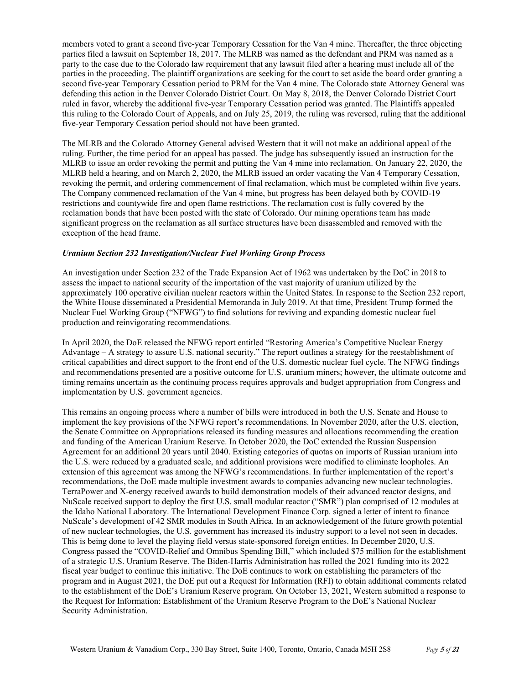members voted to grant a second five-year Temporary Cessation for the Van 4 mine. Thereafter, the three objecting parties filed a lawsuit on September 18, 2017. The MLRB was named as the defendant and PRM was named as a party to the case due to the Colorado law requirement that any lawsuit filed after a hearing must include all of the parties in the proceeding. The plaintiff organizations are seeking for the court to set aside the board order granting a second five-year Temporary Cessation period to PRM for the Van 4 mine. The Colorado state Attorney General was defending this action in the Denver Colorado District Court. On May 8, 2018, the Denver Colorado District Court ruled in favor, whereby the additional five-year Temporary Cessation period was granted. The Plaintiffs appealed this ruling to the Colorado Court of Appeals, and on July 25, 2019, the ruling was reversed, ruling that the additional five-year Temporary Cessation period should not have been granted.

The MLRB and the Colorado Attorney General advised Western that it will not make an additional appeal of the ruling. Further, the time period for an appeal has passed. The judge has subsequently issued an instruction for the MLRB to issue an order revoking the permit and putting the Van 4 mine into reclamation. On January 22, 2020, the MLRB held a hearing, and on March 2, 2020, the MLRB issued an order vacating the Van 4 Temporary Cessation, revoking the permit, and ordering commencement of final reclamation, which must be completed within five years. The Company commenced reclamation of the Van 4 mine, but progress has been delayed both by COVID-19 restrictions and countywide fire and open flame restrictions. The reclamation cost is fully covered by the reclamation bonds that have been posted with the state of Colorado. Our mining operations team has made significant progress on the reclamation as all surface structures have been disassembled and removed with the exception of the head frame.

### *Uranium Section 232 Investigation/Nuclear Fuel Working Group Process*

An investigation under Section 232 of the Trade Expansion Act of 1962 was undertaken by the DoC in 2018 to assess the impact to national security of the importation of the vast majority of uranium utilized by the approximately 100 operative civilian nuclear reactors within the United States. In response to the Section 232 report, the White House disseminated a Presidential Memoranda in July 2019. At that time, President Trump formed the Nuclear Fuel Working Group ("NFWG") to find solutions for reviving and expanding domestic nuclear fuel production and reinvigorating recommendations.

In April 2020, the DoE released the NFWG report entitled "Restoring America's Competitive Nuclear Energy Advantage – A strategy to assure U.S. national security." The report outlines a strategy for the reestablishment of critical capabilities and direct support to the front end of the U.S. domestic nuclear fuel cycle. The NFWG findings and recommendations presented are a positive outcome for U.S. uranium miners; however, the ultimate outcome and timing remains uncertain as the continuing process requires approvals and budget appropriation from Congress and implementation by U.S. government agencies.

This remains an ongoing process where a number of bills were introduced in both the U.S. Senate and House to implement the key provisions of the NFWG report's recommendations. In November 2020, after the U.S. election, the Senate Committee on Appropriations released its funding measures and allocations recommending the creation and funding of the American Uranium Reserve. In October 2020, the DoC extended the Russian Suspension Agreement for an additional 20 years until 2040. Existing categories of quotas on imports of Russian uranium into the U.S. were reduced by a graduated scale, and additional provisions were modified to eliminate loopholes. An extension of this agreement was among the NFWG's recommendations. In further implementation of the report's recommendations, the DoE made multiple investment awards to companies advancing new nuclear technologies. TerraPower and X-energy received awards to build demonstration models of their advanced reactor designs, and NuScale received support to deploy the first U.S. small modular reactor ("SMR") plan comprised of 12 modules at the Idaho National Laboratory. The International Development Finance Corp. signed a letter of intent to finance NuScale's development of 42 SMR modules in South Africa. In an acknowledgement of the future growth potential of new nuclear technologies, the U.S. government has increased its industry support to a level not seen in decades. This is being done to level the playing field versus state-sponsored foreign entities. In December 2020, U.S. Congress passed the "COVID-Relief and Omnibus Spending Bill," which included \$75 million for the establishment of a strategic U.S. Uranium Reserve. The Biden-Harris Administration has rolled the 2021 funding into its 2022 fiscal year budget to continue this initiative. The DoE continues to work on establishing the parameters of the program and in August 2021, the DoE put out a Request for Information (RFI) to obtain additional comments related to the establishment of the DoE's Uranium Reserve program. On October 13, 2021, Western submitted a response to the Request for Information: Establishment of the Uranium Reserve Program to the DoE's National Nuclear Security Administration.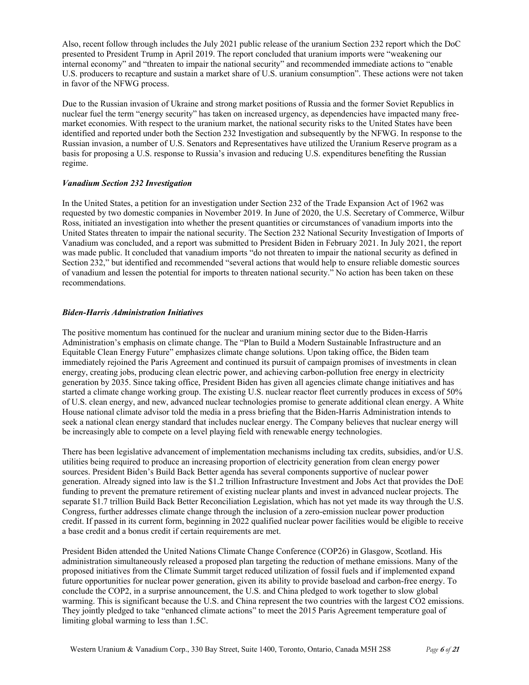Also, recent follow through includes the July 2021 public release of the uranium Section 232 report which the DoC presented to President Trump in April 2019. The report concluded that uranium imports were "weakening our internal economy" and "threaten to impair the national security" and recommended immediate actions to "enable U.S. producers to recapture and sustain a market share of U.S. uranium consumption". These actions were not taken in favor of the NFWG process.

Due to the Russian invasion of Ukraine and strong market positions of Russia and the former Soviet Republics in nuclear fuel the term "energy security" has taken on increased urgency, as dependencies have impacted many freemarket economies. With respect to the uranium market, the national security risks to the United States have been identified and reported under both the Section 232 Investigation and subsequently by the NFWG. In response to the Russian invasion, a number of U.S. Senators and Representatives have utilized the Uranium Reserve program as a basis for proposing a U.S. response to Russia's invasion and reducing U.S. expenditures benefiting the Russian regime.

### *Vanadium Section 232 Investigation*

In the United States, a petition for an investigation under Section 232 of the Trade Expansion Act of 1962 was requested by two domestic companies in November 2019. In June of 2020, the U.S. Secretary of Commerce, Wilbur Ross, initiated an investigation into whether the present quantities or circumstances of vanadium imports into the United States threaten to impair the national security. The Section 232 National Security Investigation of Imports of Vanadium was concluded, and a report was submitted to President Biden in February 2021. In July 2021, the report was made public. It concluded that vanadium imports "do not threaten to impair the national security as defined in Section 232," but identified and recommended "several actions that would help to ensure reliable domestic sources of vanadium and lessen the potential for imports to threaten national security." No action has been taken on these recommendations.

#### *Biden-Harris Administration Initiatives*

The positive momentum has continued for the nuclear and uranium mining sector due to the Biden-Harris Administration's emphasis on climate change. The "Plan to Build a Modern Sustainable Infrastructure and an Equitable Clean Energy Future" emphasizes climate change solutions. Upon taking office, the Biden team immediately rejoined the Paris Agreement and continued its pursuit of campaign promises of investments in clean energy, creating jobs, producing clean electric power, and achieving carbon-pollution free energy in electricity generation by 2035. Since taking office, President Biden has given all agencies climate change initiatives and has started a climate change working group. The existing U.S. nuclear reactor fleet currently produces in excess of 50% of U.S. clean energy, and new, advanced nuclear technologies promise to generate additional clean energy. A White House national climate advisor told the media in a press briefing that the Biden-Harris Administration intends to seek a national clean energy standard that includes nuclear energy. The Company believes that nuclear energy will be increasingly able to compete on a level playing field with renewable energy technologies.

There has been legislative advancement of implementation mechanisms including tax credits, subsidies, and/or U.S. utilities being required to produce an increasing proportion of electricity generation from clean energy power sources. President Biden's Build Back Better agenda has several components supportive of nuclear power generation. Already signed into law is the \$1.2 trillion Infrastructure Investment and Jobs Act that provides the DoE funding to prevent the premature retirement of existing nuclear plants and invest in advanced nuclear projects. The separate \$1.7 trillion Build Back Better Reconciliation Legislation, which has not yet made its way through the U.S. Congress, further addresses climate change through the inclusion of a zero-emission nuclear power production credit. If passed in its current form, beginning in 2022 qualified nuclear power facilities would be eligible to receive a base credit and a bonus credit if certain requirements are met.

President Biden attended the United Nations Climate Change Conference (COP26) in Glasgow, Scotland. His administration simultaneously released a proposed plan targeting the reduction of methane emissions. Many of the proposed initiatives from the Climate Summit target reduced utilization of fossil fuels and if implemented expand future opportunities for nuclear power generation, given its ability to provide baseload and carbon-free energy. To conclude the COP2, in a surprise announcement, the U.S. and China pledged to work together to slow global warming. This is significant because the U.S. and China represent the two countries with the largest CO2 emissions. They jointly pledged to take "enhanced climate actions" to meet the 2015 Paris Agreement temperature goal of limiting global warming to less than 1.5C.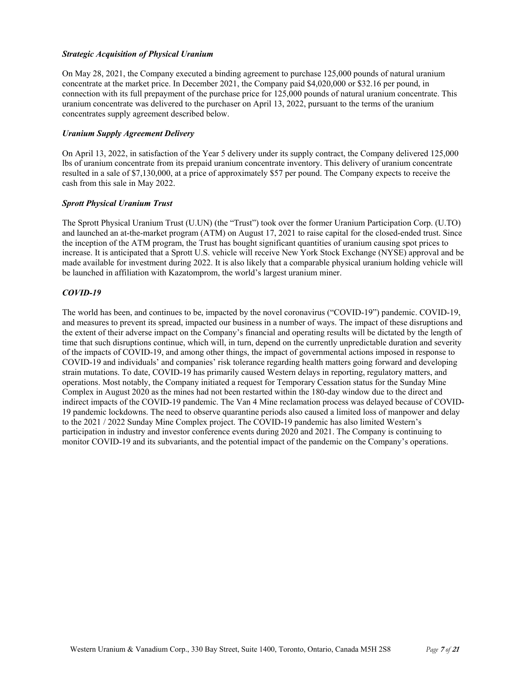### *Strategic Acquisition of Physical Uranium*

On May 28, 2021, the Company executed a binding agreement to purchase 125,000 pounds of natural uranium concentrate at the market price. In December 2021, the Company paid \$4,020,000 or \$32.16 per pound, in connection with its full prepayment of the purchase price for 125,000 pounds of natural uranium concentrate. This uranium concentrate was delivered to the purchaser on April 13, 2022, pursuant to the terms of the uranium concentrates supply agreement described below.

### *Uranium Supply Agreement Delivery*

On April 13, 2022, in satisfaction of the Year 5 delivery under its supply contract, the Company delivered 125,000 lbs of uranium concentrate from its prepaid uranium concentrate inventory. This delivery of uranium concentrate resulted in a sale of \$7,130,000, at a price of approximately \$57 per pound. The Company expects to receive the cash from this sale in May 2022.

### *Sprott Physical Uranium Trust*

The Sprott Physical Uranium Trust (U.UN) (the "Trust") took over the former Uranium Participation Corp. (U.TO) and launched an at-the-market program (ATM) on August 17, 2021 to raise capital for the closed-ended trust. Since the inception of the ATM program, the Trust has bought significant quantities of uranium causing spot prices to increase. It is anticipated that a Sprott U.S. vehicle will receive New York Stock Exchange (NYSE) approval and be made available for investment during 2022. It is also likely that a comparable physical uranium holding vehicle will be launched in affiliation with Kazatomprom, the world's largest uranium miner.

## *COVID-19*

The world has been, and continues to be, impacted by the novel coronavirus ("COVID-19") pandemic. COVID-19, and measures to prevent its spread, impacted our business in a number of ways. The impact of these disruptions and the extent of their adverse impact on the Company's financial and operating results will be dictated by the length of time that such disruptions continue, which will, in turn, depend on the currently unpredictable duration and severity of the impacts of COVID-19, and among other things, the impact of governmental actions imposed in response to COVID-19 and individuals' and companies' risk tolerance regarding health matters going forward and developing strain mutations. To date, COVID-19 has primarily caused Western delays in reporting, regulatory matters, and operations. Most notably, the Company initiated a request for Temporary Cessation status for the Sunday Mine Complex in August 2020 as the mines had not been restarted within the 180-day window due to the direct and indirect impacts of the COVID-19 pandemic. The Van 4 Mine reclamation process was delayed because of COVID-19 pandemic lockdowns. The need to observe quarantine periods also caused a limited loss of manpower and delay to the 2021 / 2022 Sunday Mine Complex project. The COVID-19 pandemic has also limited Western's participation in industry and investor conference events during 2020 and 2021. The Company is continuing to monitor COVID-19 and its subvariants, and the potential impact of the pandemic on the Company's operations.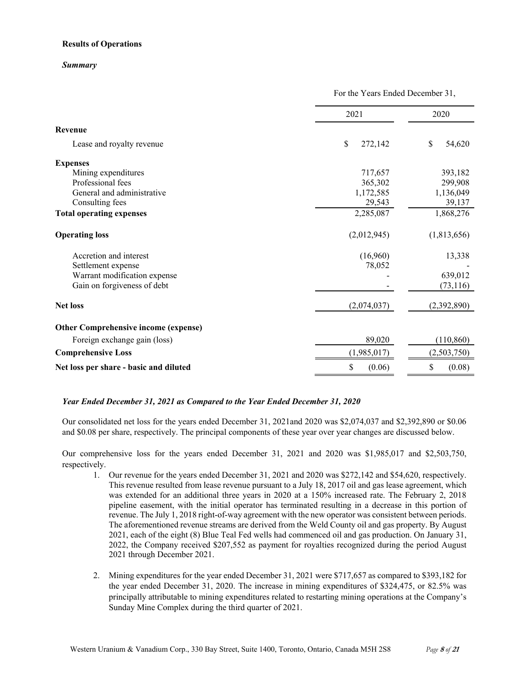### **Results of Operations**

#### *Summary*

|                                             | For the Years Ended December 31, |              |  |
|---------------------------------------------|----------------------------------|--------------|--|
|                                             | 2021                             | 2020         |  |
| Revenue                                     |                                  |              |  |
| Lease and royalty revenue                   | \$<br>272,142                    | \$<br>54,620 |  |
| <b>Expenses</b>                             |                                  |              |  |
| Mining expenditures                         | 717,657                          | 393,182      |  |
| Professional fees                           | 365,302                          | 299,908      |  |
| General and administrative                  | 1,172,585                        | 1,136,049    |  |
| Consulting fees                             | 29,543                           | 39,137       |  |
| <b>Total operating expenses</b>             | 2,285,087                        | 1,868,276    |  |
| <b>Operating loss</b>                       | (2,012,945)                      | (1,813,656)  |  |
| Accretion and interest                      | (16,960)                         | 13,338       |  |
| Settlement expense                          | 78,052                           |              |  |
| Warrant modification expense                |                                  | 639,012      |  |
| Gain on forgiveness of debt                 |                                  | (73, 116)    |  |
| <b>Net loss</b>                             | (2,074,037)                      | (2,392,890)  |  |
| <b>Other Comprehensive income (expense)</b> |                                  |              |  |
| Foreign exchange gain (loss)                | 89,020                           | (110, 860)   |  |
| <b>Comprehensive Loss</b>                   | (1,985,017)                      | (2,503,750)  |  |
| Net loss per share - basic and diluted      | \$<br>(0.06)                     | (0.08)<br>S  |  |

## *Year Ended December 31, 2021 as Compared to the Year Ended December 31, 2020*

Our consolidated net loss for the years ended December 31, 2021and 2020 was \$2,074,037 and \$2,392,890 or \$0.06 and \$0.08 per share, respectively. The principal components of these year over year changes are discussed below.

Our comprehensive loss for the years ended December 31, 2021 and 2020 was \$1,985,017 and \$2,503,750, respectively.

- 1. Our revenue for the years ended December 31, 2021 and 2020 was \$272,142 and \$54,620, respectively. This revenue resulted from lease revenue pursuant to a July 18, 2017 oil and gas lease agreement, which was extended for an additional three years in 2020 at a 150% increased rate. The February 2, 2018 pipeline easement, with the initial operator has terminated resulting in a decrease in this portion of revenue. The July 1, 2018 right-of-way agreement with the new operator was consistent between periods. The aforementioned revenue streams are derived from the Weld County oil and gas property. By August 2021, each of the eight (8) Blue Teal Fed wells had commenced oil and gas production. On January 31, 2022, the Company received \$207,552 as payment for royalties recognized during the period August 2021 through December 2021.
- 2. Mining expenditures for the year ended December 31, 2021 were \$717,657 as compared to \$393,182 for the year ended December 31, 2020. The increase in mining expenditures of \$324,475, or 82.5% was principally attributable to mining expenditures related to restarting mining operations at the Company's Sunday Mine Complex during the third quarter of 2021.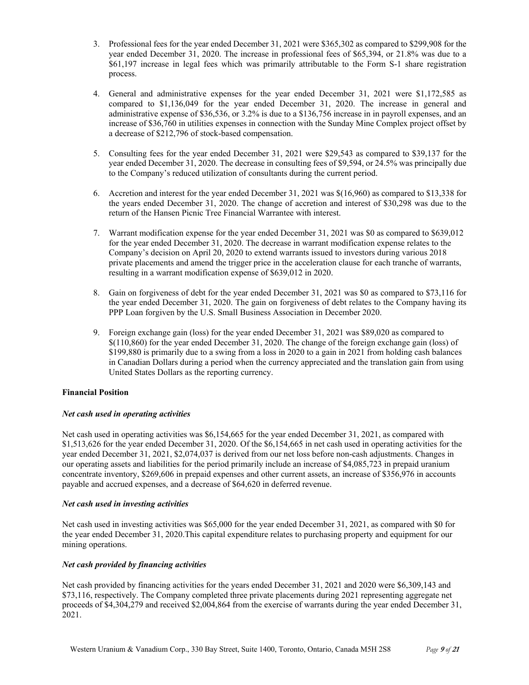- 3. Professional fees for the year ended December 31, 2021 were \$365,302 as compared to \$299,908 for the year ended December 31, 2020. The increase in professional fees of \$65,394, or 21.8% was due to a \$61,197 increase in legal fees which was primarily attributable to the Form S-1 share registration process.
- 4. General and administrative expenses for the year ended December 31, 2021 were \$1,172,585 as compared to \$1,136,049 for the year ended December 31, 2020. The increase in general and administrative expense of \$36,536, or 3.2% is due to a \$136,756 increase in in payroll expenses, and an increase of \$36,760 in utilities expenses in connection with the Sunday Mine Complex project offset by a decrease of \$212,796 of stock-based compensation.
- 5. Consulting fees for the year ended December 31, 2021 were \$29,543 as compared to \$39,137 for the year ended December 31, 2020. The decrease in consulting fees of \$9,594, or 24.5% was principally due to the Company's reduced utilization of consultants during the current period.
- 6. Accretion and interest for the year ended December 31, 2021 was \$(16,960) as compared to \$13,338 for the years ended December 31, 2020. The change of accretion and interest of \$30,298 was due to the return of the Hansen Picnic Tree Financial Warrantee with interest.
- 7. Warrant modification expense for the year ended December 31, 2021 was \$0 as compared to \$639,012 for the year ended December 31, 2020. The decrease in warrant modification expense relates to the Company's decision on April 20, 2020 to extend warrants issued to investors during various 2018 private placements and amend the trigger price in the acceleration clause for each tranche of warrants, resulting in a warrant modification expense of \$639,012 in 2020.
- 8. Gain on forgiveness of debt for the year ended December 31, 2021 was \$0 as compared to \$73,116 for the year ended December 31, 2020. The gain on forgiveness of debt relates to the Company having its PPP Loan forgiven by the U.S. Small Business Association in December 2020.
- 9. Foreign exchange gain (loss) for the year ended December 31, 2021 was \$89,020 as compared to \$(110,860) for the year ended December 31, 2020. The change of the foreign exchange gain (loss) of \$199,880 is primarily due to a swing from a loss in 2020 to a gain in 2021 from holding cash balances in Canadian Dollars during a period when the currency appreciated and the translation gain from using United States Dollars as the reporting currency.

## **Financial Position**

## *Net cash used in operating activities*

Net cash used in operating activities was \$6,154,665 for the year ended December 31, 2021, as compared with \$1,513,626 for the year ended December 31, 2020. Of the \$6,154,665 in net cash used in operating activities for the year ended December 31, 2021, \$2,074,037 is derived from our net loss before non-cash adjustments. Changes in our operating assets and liabilities for the period primarily include an increase of \$4,085,723 in prepaid uranium concentrate inventory, \$269,606 in prepaid expenses and other current assets, an increase of \$356,976 in accounts payable and accrued expenses, and a decrease of \$64,620 in deferred revenue.

## *Net cash used in investing activities*

Net cash used in investing activities was \$65,000 for the year ended December 31, 2021, as compared with \$0 for the year ended December 31, 2020.This capital expenditure relates to purchasing property and equipment for our mining operations.

## *Net cash provided by financing activities*

Net cash provided by financing activities for the years ended December 31, 2021 and 2020 were \$6,309,143 and \$73,116, respectively. The Company completed three private placements during 2021 representing aggregate net proceeds of \$4,304,279 and received \$2,004,864 from the exercise of warrants during the year ended December 31, 2021.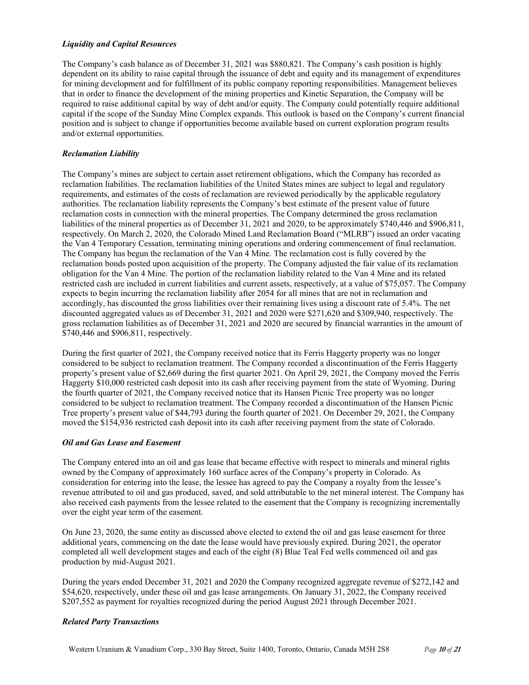#### *Liquidity and Capital Resources*

The Company's cash balance as of December 31, 2021 was \$880,821. The Company's cash position is highly dependent on its ability to raise capital through the issuance of debt and equity and its management of expenditures for mining development and for fulfillment of its public company reporting responsibilities. Management believes that in order to finance the development of the mining properties and Kinetic Separation, the Company will be required to raise additional capital by way of debt and/or equity. The Company could potentially require additional capital if the scope of the Sunday Mine Complex expands. This outlook is based on the Company's current financial position and is subject to change if opportunities become available based on current exploration program results and/or external opportunities.

### *Reclamation Liability*

The Company's mines are subject to certain asset retirement obligations, which the Company has recorded as reclamation liabilities. The reclamation liabilities of the United States mines are subject to legal and regulatory requirements, and estimates of the costs of reclamation are reviewed periodically by the applicable regulatory authorities. The reclamation liability represents the Company's best estimate of the present value of future reclamation costs in connection with the mineral properties. The Company determined the gross reclamation liabilities of the mineral properties as of December 31, 2021 and 2020, to be approximately \$740,446 and \$906,811, respectively. On March 2, 2020, the Colorado Mined Land Reclamation Board ("MLRB") issued an order vacating the Van 4 Temporary Cessation, terminating mining operations and ordering commencement of final reclamation. The Company has begun the reclamation of the Van 4 Mine. The reclamation cost is fully covered by the reclamation bonds posted upon acquisition of the property. The Company adjusted the fair value of its reclamation obligation for the Van 4 Mine. The portion of the reclamation liability related to the Van 4 Mine and its related restricted cash are included in current liabilities and current assets, respectively, at a value of \$75,057. The Company expects to begin incurring the reclamation liability after 2054 for all mines that are not in reclamation and accordingly, has discounted the gross liabilities over their remaining lives using a discount rate of 5.4%. The net discounted aggregated values as of December 31, 2021 and 2020 were \$271,620 and \$309,940, respectively. The gross reclamation liabilities as of December 31, 2021 and 2020 are secured by financial warranties in the amount of \$740,446 and \$906,811, respectively.

During the first quarter of 2021, the Company received notice that its Ferris Haggerty property was no longer considered to be subject to reclamation treatment. The Company recorded a discontinuation of the Ferris Haggerty property's present value of \$2,669 during the first quarter 2021. On April 29, 2021, the Company moved the Ferris Haggerty \$10,000 restricted cash deposit into its cash after receiving payment from the state of Wyoming. During the fourth quarter of 2021, the Company received notice that its Hansen Picnic Tree property was no longer considered to be subject to reclamation treatment. The Company recorded a discontinuation of the Hansen Picnic Tree property's present value of \$44,793 during the fourth quarter of 2021. On December 29, 2021, the Company moved the \$154,936 restricted cash deposit into its cash after receiving payment from the state of Colorado.

## *Oil and Gas Lease and Easement*

The Company entered into an oil and gas lease that became effective with respect to minerals and mineral rights owned by the Company of approximately 160 surface acres of the Company's property in Colorado. As consideration for entering into the lease, the lessee has agreed to pay the Company a royalty from the lessee's revenue attributed to oil and gas produced, saved, and sold attributable to the net mineral interest. The Company has also received cash payments from the lessee related to the easement that the Company is recognizing incrementally over the eight year term of the easement.

On June 23, 2020, the same entity as discussed above elected to extend the oil and gas lease easement for three additional years, commencing on the date the lease would have previously expired. During 2021, the operator completed all well development stages and each of the eight (8) Blue Teal Fed wells commenced oil and gas production by mid-August 2021.

During the years ended December 31, 2021 and 2020 the Company recognized aggregate revenue of \$272,142 and \$54,620, respectively, under these oil and gas lease arrangements. On January 31, 2022, the Company received \$207,552 as payment for royalties recognized during the period August 2021 through December 2021.

#### *Related Party Transactions*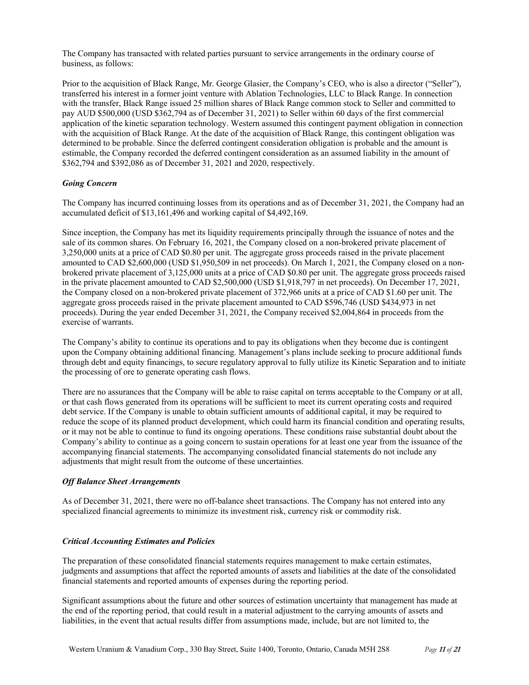The Company has transacted with related parties pursuant to service arrangements in the ordinary course of business, as follows:

Prior to the acquisition of Black Range, Mr. George Glasier, the Company's CEO, who is also a director ("Seller"), transferred his interest in a former joint venture with Ablation Technologies, LLC to Black Range. In connection with the transfer, Black Range issued 25 million shares of Black Range common stock to Seller and committed to pay AUD \$500,000 (USD \$362,794 as of December 31, 2021) to Seller within 60 days of the first commercial application of the kinetic separation technology. Western assumed this contingent payment obligation in connection with the acquisition of Black Range. At the date of the acquisition of Black Range, this contingent obligation was determined to be probable. Since the deferred contingent consideration obligation is probable and the amount is estimable, the Company recorded the deferred contingent consideration as an assumed liability in the amount of \$362,794 and \$392,086 as of December 31, 2021 and 2020, respectively.

### *Going Concern*

The Company has incurred continuing losses from its operations and as of December 31, 2021, the Company had an accumulated deficit of \$13,161,496 and working capital of \$4,492,169.

Since inception, the Company has met its liquidity requirements principally through the issuance of notes and the sale of its common shares. On February 16, 2021, the Company closed on a non-brokered private placement of 3,250,000 units at a price of CAD \$0.80 per unit. The aggregate gross proceeds raised in the private placement amounted to CAD \$2,600,000 (USD \$1,950,509 in net proceeds). On March 1, 2021, the Company closed on a nonbrokered private placement of 3,125,000 units at a price of CAD \$0.80 per unit. The aggregate gross proceeds raised in the private placement amounted to CAD \$2,500,000 (USD \$1,918,797 in net proceeds). On December 17, 2021, the Company closed on a non-brokered private placement of 372,966 units at a price of CAD \$1.60 per unit. The aggregate gross proceeds raised in the private placement amounted to CAD \$596,746 (USD \$434,973 in net proceeds). During the year ended December 31, 2021, the Company received \$2,004,864 in proceeds from the exercise of warrants.

The Company's ability to continue its operations and to pay its obligations when they become due is contingent upon the Company obtaining additional financing. Management's plans include seeking to procure additional funds through debt and equity financings, to secure regulatory approval to fully utilize its Kinetic Separation and to initiate the processing of ore to generate operating cash flows.

There are no assurances that the Company will be able to raise capital on terms acceptable to the Company or at all, or that cash flows generated from its operations will be sufficient to meet its current operating costs and required debt service. If the Company is unable to obtain sufficient amounts of additional capital, it may be required to reduce the scope of its planned product development, which could harm its financial condition and operating results, or it may not be able to continue to fund its ongoing operations. These conditions raise substantial doubt about the Company's ability to continue as a going concern to sustain operations for at least one year from the issuance of the accompanying financial statements. The accompanying consolidated financial statements do not include any adjustments that might result from the outcome of these uncertainties.

#### *Off Balance Sheet Arrangements*

As of December 31, 2021, there were no off-balance sheet transactions. The Company has not entered into any specialized financial agreements to minimize its investment risk, currency risk or commodity risk.

#### *Critical Accounting Estimates and Policies*

The preparation of these consolidated financial statements requires management to make certain estimates, judgments and assumptions that affect the reported amounts of assets and liabilities at the date of the consolidated financial statements and reported amounts of expenses during the reporting period.

Significant assumptions about the future and other sources of estimation uncertainty that management has made at the end of the reporting period, that could result in a material adjustment to the carrying amounts of assets and liabilities, in the event that actual results differ from assumptions made, include, but are not limited to, the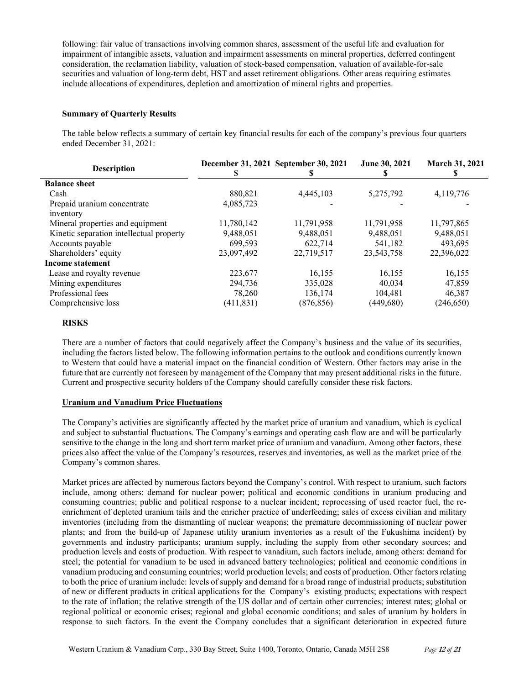following: fair value of transactions involving common shares, assessment of the useful life and evaluation for impairment of intangible assets, valuation and impairment assessments on mineral properties, deferred contingent consideration, the reclamation liability, valuation of stock-based compensation, valuation of available-for-sale securities and valuation of long-term debt, HST and asset retirement obligations. Other areas requiring estimates include allocations of expenditures, depletion and amortization of mineral rights and properties.

### **Summary of Quarterly Results**

The table below reflects a summary of certain key financial results for each of the company's previous four quarters ended December 31, 2021:

| <b>Description</b>                       |            | December 31, 2021 September 30, 2021 | June 30, 2021 | March 31, 2021 |
|------------------------------------------|------------|--------------------------------------|---------------|----------------|
| <b>Balance sheet</b>                     |            |                                      |               |                |
| Cash                                     | 880,821    | 4,445,103                            | 5,275,792     | 4,119,776      |
| Prepaid uranium concentrate              | 4,085,723  |                                      |               |                |
| inventory                                |            |                                      |               |                |
| Mineral properties and equipment         | 11,780,142 | 11,791,958                           | 11,791,958    | 11,797,865     |
| Kinetic separation intellectual property | 9,488,051  | 9,488,051                            | 9,488,051     | 9,488,051      |
| Accounts payable                         | 699.593    | 622,714                              | 541,182       | 493.695        |
| Shareholders' equity                     | 23,097,492 | 22,719,517                           | 23, 543, 758  | 22,396,022     |
| Income statement                         |            |                                      |               |                |
| Lease and royalty revenue                | 223,677    | 16,155                               | 16,155        | 16,155         |
| Mining expenditures                      | 294,736    | 335,028                              | 40.034        | 47,859         |
| Professional fees                        | 78,260     | 136,174                              | 104,481       | 46,387         |
| Comprehensive loss                       | (411, 831) | (876, 856)                           | (449,680)     | (246, 650)     |

#### **RISKS**

There are a number of factors that could negatively affect the Company's business and the value of its securities, including the factors listed below. The following information pertains to the outlook and conditions currently known to Western that could have a material impact on the financial condition of Western. Other factors may arise in the future that are currently not foreseen by management of the Company that may present additional risks in the future. Current and prospective security holders of the Company should carefully consider these risk factors.

### **Uranium and Vanadium Price Fluctuations**

The Company's activities are significantly affected by the market price of uranium and vanadium, which is cyclical and subject to substantial fluctuations. The Company's earnings and operating cash flow are and will be particularly sensitive to the change in the long and short term market price of uranium and vanadium. Among other factors, these prices also affect the value of the Company's resources, reserves and inventories, as well as the market price of the Company's common shares.

Market prices are affected by numerous factors beyond the Company's control. With respect to uranium, such factors include, among others: demand for nuclear power; political and economic conditions in uranium producing and consuming countries; public and political response to a nuclear incident; reprocessing of used reactor fuel, the reenrichment of depleted uranium tails and the enricher practice of underfeeding; sales of excess civilian and military inventories (including from the dismantling of nuclear weapons; the premature decommissioning of nuclear power plants; and from the build-up of Japanese utility uranium inventories as a result of the Fukushima incident) by governments and industry participants; uranium supply, including the supply from other secondary sources; and production levels and costs of production. With respect to vanadium, such factors include, among others: demand for steel; the potential for vanadium to be used in advanced battery technologies; political and economic conditions in vanadium producing and consuming countries; world production levels; and costs of production. Other factors relating to both the price of uranium include: levels of supply and demand for a broad range of industrial products; substitution of new or different products in critical applications for the Company's existing products; expectations with respect to the rate of inflation; the relative strength of the US dollar and of certain other currencies; interest rates; global or regional political or economic crises; regional and global economic conditions; and sales of uranium by holders in response to such factors. In the event the Company concludes that a significant deterioration in expected future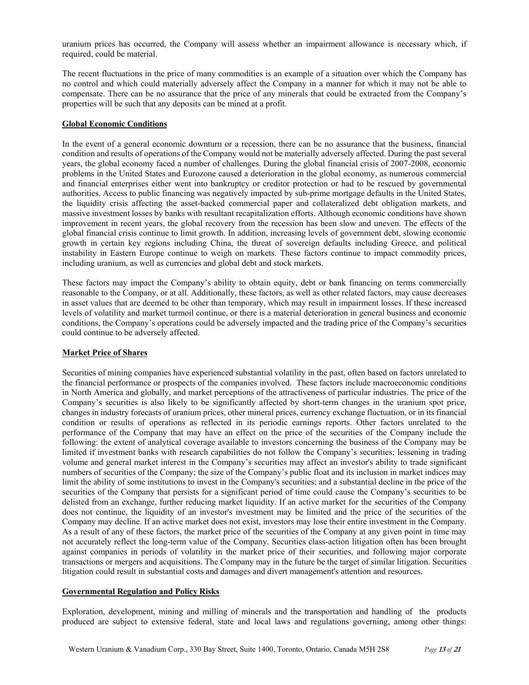uranium prices has occurred, the Company will assess whether an impairment allowance is necessary which, if required, could be material.

The recent fluctuations in the price of many commodities is an example of a situation over which the Company has no control and which could materially adversely affect the Company in a manner for which it may not be able to compensate. There can be no assurance that the price of any minerals that could be extracted from the Company's properties will be such that any deposits can be mined at a profit.

### **Global Economic Conditions**

In the event of a general economic downturn or a recession, there can be no assurance that the business, financial condition and results of operations of the Company would not be materially adversely affected. During the past several years, the global economy faced a number of challenges. During the global financial crisis of 2007-2008, economic problems in the United States and Eurozone caused a deterioration in the global economy, as numerous commercial and financial enterprises either went into bankruptcy or creditor protection or had to be rescued by governmental authorities. Access to public financing was negatively impacted by sub-prime mortgage defaults in the United States, the liquidity crisis affecting the asset-backed commercial paper and collateralized debt obligation markets, and massive investment losses by banks with resultant recapitalization efforts. Although economic conditions have shown improvement in recent years, the global recovery from the recession has been slow and uneven. The effects of the global financial crisis continue to limit growth. In addition, increasing levels of government debt, slowing economic growth in certain key regions including China, the threat of sovereign defaults including Greece, and political instability in Eastern Europe continue to weigh on markets. These factors continue to impact commodity prices, including uranium, as well as currencies and global debt and stock markets.

These factors may impact the Company's ability to obtain equity, debt or bank financing on terms commercially reasonable to the Company, or at all. Additionally, these factors, as well as other related factors, may cause decreases in asset values that are deemed to be other than temporary, which may result in impairment losses. If these increased levels of volatility and market turmoil continue, or there is a material deterioration in general business and economic conditions, the Company's operations could be adversely impacted and the trading price of the Company's securities could continue to be adversely affected.

### **Market Price of Shares**

Securities of mining companies have experienced substantial volatility in the past, often based on factors unrelated to the financial performance or prospects of the companies involved. These factors include macroeconomic conditions in North America and globally, and market perceptions of the attractiveness of particular industries. The price of the Company's securities is also likely to be significantly affected by short-term changes in the uranium spot price, changes in industry forecasts of uranium prices, other mineral prices, currency exchange fluctuation, or in its financial condition or results of operations as reflected in its periodic earnings reports. Other factors unrelated to the performance of the Company that may have an effect on the price of the securities of the Company include the following: the extent of analytical coverage available to investors concerning the business of the Company may be limited if investment banks with research capabilities do not follow the Company's securities; lessening in trading volume and general market interest in the Company's securities may affect an investor's ability to trade significant numbers of securities of the Company; the size of the Company's public float and its inclusion in market indices may limit the ability of some institutions to invest in the Company's securities; and a substantial decline in the price of the securities of the Company that persists for a significant period of time could cause the Company's securities to be delisted from an exchange, further reducing market liquidity. If an active market for the securities of the Company does not continue, the liquidity of an investor's investment may be limited and the price of the securities of the Company may decline. If an active market does not exist, investors may lose their entire investment in the Company. As a result of any of these factors, the market price of the securities of the Company at any given point in time may not accurately reflect the long-term value of the Company. Securities class-action litigation often has been brought against companies in periods of volatility in the market price of their securities, and following major corporate transactions or mergers and acquisitions. The Company may in the future be the target of similar litigation. Securities litigation could result in substantial costs and damages and divert management's attention and resources.

#### **Governmental Regulation and Policy Risks**

Exploration, development, mining and milling of minerals and the transportation and handling of the products produced are subject to extensive federal, state and local laws and regulations governing, among other things: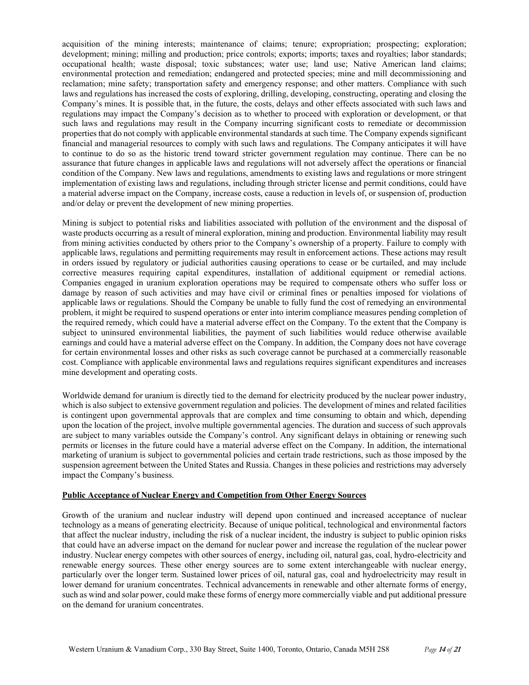acquisition of the mining interests; maintenance of claims; tenure; expropriation; prospecting; exploration; development; mining; milling and production; price controls; exports; imports; taxes and royalties; labor standards; occupational health; waste disposal; toxic substances; water use; land use; Native American land claims; environmental protection and remediation; endangered and protected species; mine and mill decommissioning and reclamation; mine safety; transportation safety and emergency response; and other matters. Compliance with such laws and regulations has increased the costs of exploring, drilling, developing, constructing, operating and closing the Company's mines. It is possible that, in the future, the costs, delays and other effects associated with such laws and regulations may impact the Company's decision as to whether to proceed with exploration or development, or that such laws and regulations may result in the Company incurring significant costs to remediate or decommission properties that do not comply with applicable environmental standards at such time. The Company expends significant financial and managerial resources to comply with such laws and regulations. The Company anticipates it will have to continue to do so as the historic trend toward stricter government regulation may continue. There can be no assurance that future changes in applicable laws and regulations will not adversely affect the operations or financial condition of the Company. New laws and regulations, amendments to existing laws and regulations or more stringent implementation of existing laws and regulations, including through stricter license and permit conditions, could have a material adverse impact on the Company, increase costs, cause a reduction in levels of, or suspension of, production and/or delay or prevent the development of new mining properties.

Mining is subject to potential risks and liabilities associated with pollution of the environment and the disposal of waste products occurring as a result of mineral exploration, mining and production. Environmental liability may result from mining activities conducted by others prior to the Company's ownership of a property. Failure to comply with applicable laws, regulations and permitting requirements may result in enforcement actions. These actions may result in orders issued by regulatory or judicial authorities causing operations to cease or be curtailed, and may include corrective measures requiring capital expenditures, installation of additional equipment or remedial actions. Companies engaged in uranium exploration operations may be required to compensate others who suffer loss or damage by reason of such activities and may have civil or criminal fines or penalties imposed for violations of applicable laws or regulations. Should the Company be unable to fully fund the cost of remedying an environmental problem, it might be required to suspend operations or enter into interim compliance measures pending completion of the required remedy, which could have a material adverse effect on the Company. To the extent that the Company is subject to uninsured environmental liabilities, the payment of such liabilities would reduce otherwise available earnings and could have a material adverse effect on the Company. In addition, the Company does not have coverage for certain environmental losses and other risks as such coverage cannot be purchased at a commercially reasonable cost. Compliance with applicable environmental laws and regulations requires significant expenditures and increases mine development and operating costs.

Worldwide demand for uranium is directly tied to the demand for electricity produced by the nuclear power industry, which is also subject to extensive government regulation and policies. The development of mines and related facilities is contingent upon governmental approvals that are complex and time consuming to obtain and which, depending upon the location of the project, involve multiple governmental agencies. The duration and success of such approvals are subject to many variables outside the Company's control. Any significant delays in obtaining or renewing such permits or licenses in the future could have a material adverse effect on the Company. In addition, the international marketing of uranium is subject to governmental policies and certain trade restrictions, such as those imposed by the suspension agreement between the United States and Russia. Changes in these policies and restrictions may adversely impact the Company's business.

### **Public Acceptance of Nuclear Energy and Competition from Other Energy Sources**

Growth of the uranium and nuclear industry will depend upon continued and increased acceptance of nuclear technology as a means of generating electricity. Because of unique political, technological and environmental factors that affect the nuclear industry, including the risk of a nuclear incident, the industry is subject to public opinion risks that could have an adverse impact on the demand for nuclear power and increase the regulation of the nuclear power industry. Nuclear energy competes with other sources of energy, including oil, natural gas, coal, hydro-electricity and renewable energy sources. These other energy sources are to some extent interchangeable with nuclear energy, particularly over the longer term. Sustained lower prices of oil, natural gas, coal and hydroelectricity may result in lower demand for uranium concentrates. Technical advancements in renewable and other alternate forms of energy, such as wind and solar power, could make these forms of energy more commercially viable and put additional pressure on the demand for uranium concentrates.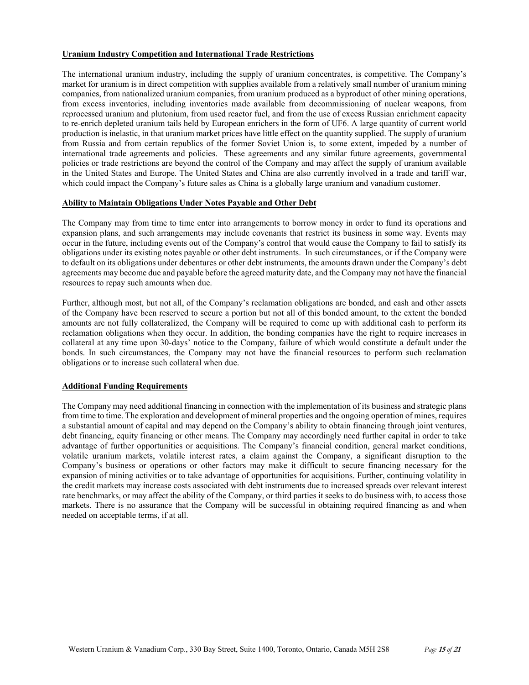### **Uranium Industry Competition and International Trade Restrictions**

The international uranium industry, including the supply of uranium concentrates, is competitive. The Company's market for uranium is in direct competition with supplies available from a relatively small number of uranium mining companies, from nationalized uranium companies, from uranium produced as a byproduct of other mining operations, from excess inventories, including inventories made available from decommissioning of nuclear weapons, from reprocessed uranium and plutonium, from used reactor fuel, and from the use of excess Russian enrichment capacity to re-enrich depleted uranium tails held by European enrichers in the form of UF6. A large quantity of current world production is inelastic, in that uranium market prices have little effect on the quantity supplied. The supply of uranium from Russia and from certain republics of the former Soviet Union is, to some extent, impeded by a number of international trade agreements and policies. These agreements and any similar future agreements, governmental policies or trade restrictions are beyond the control of the Company and may affect the supply of uranium available in the United States and Europe. The United States and China are also currently involved in a trade and tariff war, which could impact the Company's future sales as China is a globally large uranium and vanadium customer.

### **Ability to Maintain Obligations Under Notes Payable and Other Debt**

The Company may from time to time enter into arrangements to borrow money in order to fund its operations and expansion plans, and such arrangements may include covenants that restrict its business in some way. Events may occur in the future, including events out of the Company's control that would cause the Company to fail to satisfy its obligations under its existing notes payable or other debt instruments. In such circumstances, or if the Company were to default on its obligations under debentures or other debt instruments, the amounts drawn under the Company's debt agreements may become due and payable before the agreed maturity date, and the Company may not have the financial resources to repay such amounts when due.

Further, although most, but not all, of the Company's reclamation obligations are bonded, and cash and other assets of the Company have been reserved to secure a portion but not all of this bonded amount, to the extent the bonded amounts are not fully collateralized, the Company will be required to come up with additional cash to perform its reclamation obligations when they occur. In addition, the bonding companies have the right to require increases in collateral at any time upon 30-days' notice to the Company, failure of which would constitute a default under the bonds. In such circumstances, the Company may not have the financial resources to perform such reclamation obligations or to increase such collateral when due.

## **Additional Funding Requirements**

The Company may need additional financing in connection with the implementation of its business and strategic plans from time to time. The exploration and development of mineral properties and the ongoing operation of mines, requires a substantial amount of capital and may depend on the Company's ability to obtain financing through joint ventures, debt financing, equity financing or other means. The Company may accordingly need further capital in order to take advantage of further opportunities or acquisitions. The Company's financial condition, general market conditions, volatile uranium markets, volatile interest rates, a claim against the Company, a significant disruption to the Company's business or operations or other factors may make it difficult to secure financing necessary for the expansion of mining activities or to take advantage of opportunities for acquisitions. Further, continuing volatility in the credit markets may increase costs associated with debt instruments due to increased spreads over relevant interest rate benchmarks, or may affect the ability of the Company, or third parties it seeks to do business with, to access those markets. There is no assurance that the Company will be successful in obtaining required financing as and when needed on acceptable terms, if at all.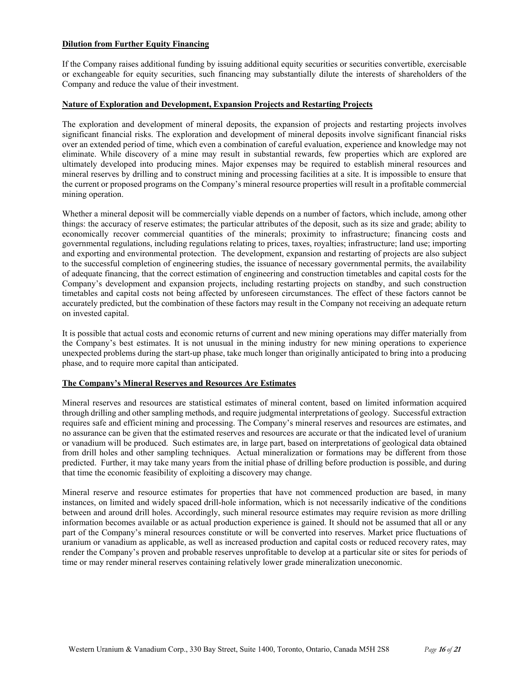### **Dilution from Further Equity Financing**

If the Company raises additional funding by issuing additional equity securities or securities convertible, exercisable or exchangeable for equity securities, such financing may substantially dilute the interests of shareholders of the Company and reduce the value of their investment.

### **Nature of Exploration and Development, Expansion Projects and Restarting Projects**

The exploration and development of mineral deposits, the expansion of projects and restarting projects involves significant financial risks. The exploration and development of mineral deposits involve significant financial risks over an extended period of time, which even a combination of careful evaluation, experience and knowledge may not eliminate. While discovery of a mine may result in substantial rewards, few properties which are explored are ultimately developed into producing mines. Major expenses may be required to establish mineral resources and mineral reserves by drilling and to construct mining and processing facilities at a site. It is impossible to ensure that the current or proposed programs on the Company's mineral resource properties will result in a profitable commercial mining operation.

Whether a mineral deposit will be commercially viable depends on a number of factors, which include, among other things: the accuracy of reserve estimates; the particular attributes of the deposit, such as its size and grade; ability to economically recover commercial quantities of the minerals; proximity to infrastructure; financing costs and governmental regulations, including regulations relating to prices, taxes, royalties; infrastructure; land use; importing and exporting and environmental protection. The development, expansion and restarting of projects are also subject to the successful completion of engineering studies, the issuance of necessary governmental permits, the availability of adequate financing, that the correct estimation of engineering and construction timetables and capital costs for the Company's development and expansion projects, including restarting projects on standby, and such construction timetables and capital costs not being affected by unforeseen circumstances. The effect of these factors cannot be accurately predicted, but the combination of these factors may result in the Company not receiving an adequate return on invested capital.

It is possible that actual costs and economic returns of current and new mining operations may differ materially from the Company's best estimates. It is not unusual in the mining industry for new mining operations to experience unexpected problems during the start-up phase, take much longer than originally anticipated to bring into a producing phase, and to require more capital than anticipated.

# **The Company's Mineral Reserves and Resources Are Estimates**

Mineral reserves and resources are statistical estimates of mineral content, based on limited information acquired through drilling and other sampling methods, and require judgmental interpretations of geology. Successful extraction requires safe and efficient mining and processing. The Company's mineral reserves and resources are estimates, and no assurance can be given that the estimated reserves and resources are accurate or that the indicated level of uranium or vanadium will be produced. Such estimates are, in large part, based on interpretations of geological data obtained from drill holes and other sampling techniques. Actual mineralization or formations may be different from those predicted. Further, it may take many years from the initial phase of drilling before production is possible, and during that time the economic feasibility of exploiting a discovery may change.

Mineral reserve and resource estimates for properties that have not commenced production are based, in many instances, on limited and widely spaced drill-hole information, which is not necessarily indicative of the conditions between and around drill holes. Accordingly, such mineral resource estimates may require revision as more drilling information becomes available or as actual production experience is gained. It should not be assumed that all or any part of the Company's mineral resources constitute or will be converted into reserves. Market price fluctuations of uranium or vanadium as applicable, as well as increased production and capital costs or reduced recovery rates, may render the Company's proven and probable reserves unprofitable to develop at a particular site or sites for periods of time or may render mineral reserves containing relatively lower grade mineralization uneconomic.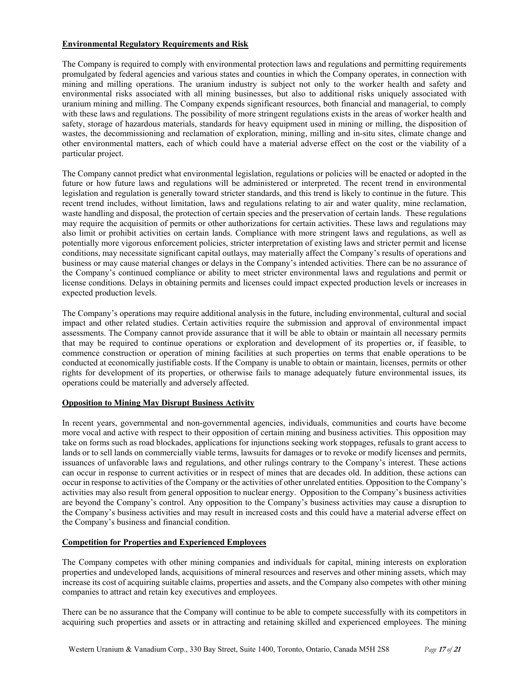### **Environmental Regulatory Requirements and Risk**

The Company is required to comply with environmental protection laws and regulations and permitting requirements promulgated by federal agencies and various states and counties in which the Company operates, in connection with mining and milling operations. The uranium industry is subject not only to the worker health and safety and environmental risks associated with all mining businesses, but also to additional risks uniquely associated with uranium mining and milling. The Company expends significant resources, both financial and managerial, to comply with these laws and regulations. The possibility of more stringent regulations exists in the areas of worker health and safety, storage of hazardous materials, standards for heavy equipment used in mining or milling, the disposition of wastes, the decommissioning and reclamation of exploration, mining, milling and in-situ sites, climate change and other environmental matters, each of which could have a material adverse effect on the cost or the viability of a particular project.

The Company cannot predict what environmental legislation, regulations or policies will be enacted or adopted in the future or how future laws and regulations will be administered or interpreted. The recent trend in environmental legislation and regulation is generally toward stricter standards, and this trend is likely to continue in the future. This recent trend includes, without limitation, laws and regulations relating to air and water quality, mine reclamation, waste handling and disposal, the protection of certain species and the preservation of certain lands. These regulations may require the acquisition of permits or other authorizations for certain activities. These laws and regulations may also limit or prohibit activities on certain lands. Compliance with more stringent laws and regulations, as well as potentially more vigorous enforcement policies, stricter interpretation of existing laws and stricter permit and license conditions, may necessitate significant capital outlays, may materially affect the Company's results of operations and business or may cause material changes or delays in the Company's intended activities. There can be no assurance of the Company's continued compliance or ability to meet stricter environmental laws and regulations and permit or license conditions. Delays in obtaining permits and licenses could impact expected production levels or increases in expected production levels.

The Company's operations may require additional analysis in the future, including environmental, cultural and social impact and other related studies. Certain activities require the submission and approval of environmental impact assessments. The Company cannot provide assurance that it will be able to obtain or maintain all necessary permits that may be required to continue operations or exploration and development of its properties or, if feasible, to commence construction or operation of mining facilities at such properties on terms that enable operations to be conducted at economically justifiable costs. If the Company is unable to obtain or maintain, licenses, permits or other rights for development of its properties, or otherwise fails to manage adequately future environmental issues, its operations could be materially and adversely affected.

## **Opposition to Mining May Disrupt Business Activity**

In recent years, governmental and non-governmental agencies, individuals, communities and courts have become more vocal and active with respect to their opposition of certain mining and business activities. This opposition may take on forms such as road blockades, applications for injunctions seeking work stoppages, refusals to grant access to lands or to sell lands on commercially viable terms, lawsuits for damages or to revoke or modify licenses and permits, issuances of unfavorable laws and regulations, and other rulings contrary to the Company's interest. These actions can occur in response to current activities or in respect of mines that are decades old. In addition, these actions can occur in response to activities of the Company or the activities of other unrelated entities. Opposition to the Company's activities may also result from general opposition to nuclear energy. Opposition to the Company's business activities are beyond the Company's control. Any opposition to the Company's business activities may cause a disruption to the Company's business activities and may result in increased costs and this could have a material adverse effect on the Company's business and financial condition.

## **Competition for Properties and Experienced Employees**

The Company competes with other mining companies and individuals for capital, mining interests on exploration properties and undeveloped lands, acquisitions of mineral resources and reserves and other mining assets, which may increase its cost of acquiring suitable claims, properties and assets, and the Company also competes with other mining companies to attract and retain key executives and employees.

There can be no assurance that the Company will continue to be able to compete successfully with its competitors in acquiring such properties and assets or in attracting and retaining skilled and experienced employees. The mining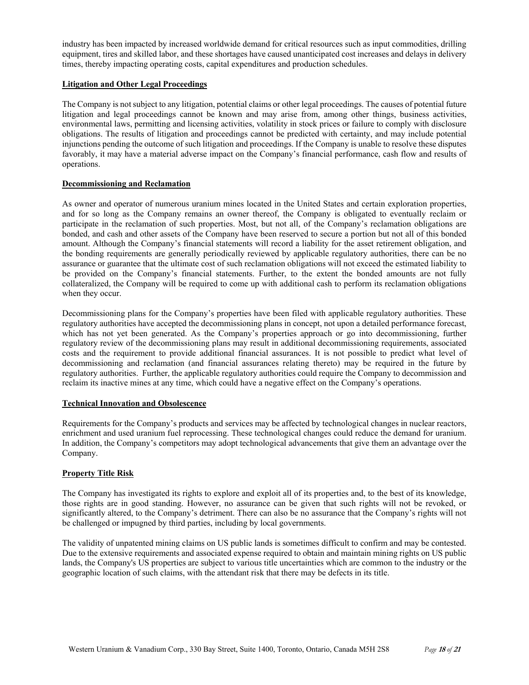industry has been impacted by increased worldwide demand for critical resources such as input commodities, drilling equipment, tires and skilled labor, and these shortages have caused unanticipated cost increases and delays in delivery times, thereby impacting operating costs, capital expenditures and production schedules.

### **Litigation and Other Legal Proceedings**

The Company is not subject to any litigation, potential claims or other legal proceedings. The causes of potential future litigation and legal proceedings cannot be known and may arise from, among other things, business activities, environmental laws, permitting and licensing activities, volatility in stock prices or failure to comply with disclosure obligations. The results of litigation and proceedings cannot be predicted with certainty, and may include potential injunctions pending the outcome of such litigation and proceedings. If the Company is unable to resolve these disputes favorably, it may have a material adverse impact on the Company's financial performance, cash flow and results of operations.

### **Decommissioning and Reclamation**

As owner and operator of numerous uranium mines located in the United States and certain exploration properties, and for so long as the Company remains an owner thereof, the Company is obligated to eventually reclaim or participate in the reclamation of such properties. Most, but not all, of the Company's reclamation obligations are bonded, and cash and other assets of the Company have been reserved to secure a portion but not all of this bonded amount. Although the Company's financial statements will record a liability for the asset retirement obligation, and the bonding requirements are generally periodically reviewed by applicable regulatory authorities, there can be no assurance or guarantee that the ultimate cost of such reclamation obligations will not exceed the estimated liability to be provided on the Company's financial statements. Further, to the extent the bonded amounts are not fully collateralized, the Company will be required to come up with additional cash to perform its reclamation obligations when they occur.

Decommissioning plans for the Company's properties have been filed with applicable regulatory authorities. These regulatory authorities have accepted the decommissioning plans in concept, not upon a detailed performance forecast, which has not yet been generated. As the Company's properties approach or go into decommissioning, further regulatory review of the decommissioning plans may result in additional decommissioning requirements, associated costs and the requirement to provide additional financial assurances. It is not possible to predict what level of decommissioning and reclamation (and financial assurances relating thereto) may be required in the future by regulatory authorities. Further, the applicable regulatory authorities could require the Company to decommission and reclaim its inactive mines at any time, which could have a negative effect on the Company's operations.

#### **Technical Innovation and Obsolescence**

Requirements for the Company's products and services may be affected by technological changes in nuclear reactors, enrichment and used uranium fuel reprocessing. These technological changes could reduce the demand for uranium. In addition, the Company's competitors may adopt technological advancements that give them an advantage over the Company.

## **Property Title Risk**

The Company has investigated its rights to explore and exploit all of its properties and, to the best of its knowledge, those rights are in good standing. However, no assurance can be given that such rights will not be revoked, or significantly altered, to the Company's detriment. There can also be no assurance that the Company's rights will not be challenged or impugned by third parties, including by local governments.

The validity of unpatented mining claims on US public lands is sometimes difficult to confirm and may be contested. Due to the extensive requirements and associated expense required to obtain and maintain mining rights on US public lands, the Company's US properties are subject to various title uncertainties which are common to the industry or the geographic location of such claims, with the attendant risk that there may be defects in its title.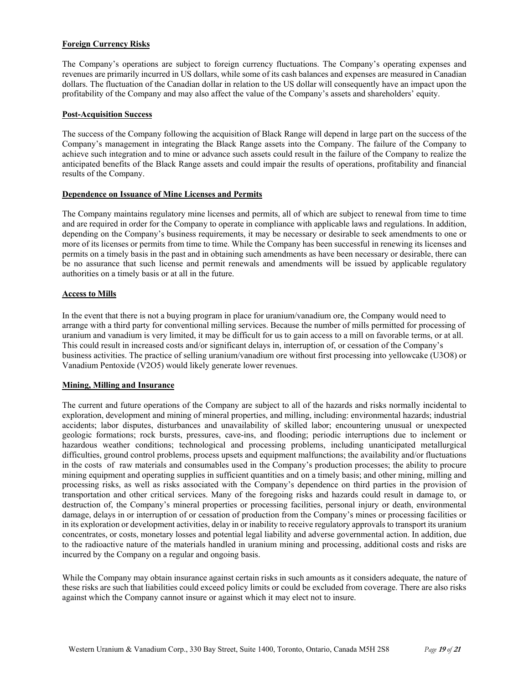### **Foreign Currency Risks**

The Company's operations are subject to foreign currency fluctuations. The Company's operating expenses and revenues are primarily incurred in US dollars, while some of its cash balances and expenses are measured in Canadian dollars. The fluctuation of the Canadian dollar in relation to the US dollar will consequently have an impact upon the profitability of the Company and may also affect the value of the Company's assets and shareholders' equity.

### **Post-Acquisition Success**

The success of the Company following the acquisition of Black Range will depend in large part on the success of the Company's management in integrating the Black Range assets into the Company. The failure of the Company to achieve such integration and to mine or advance such assets could result in the failure of the Company to realize the anticipated benefits of the Black Range assets and could impair the results of operations, profitability and financial results of the Company.

### **Dependence on Issuance of Mine Licenses and Permits**

The Company maintains regulatory mine licenses and permits, all of which are subject to renewal from time to time and are required in order for the Company to operate in compliance with applicable laws and regulations. In addition, depending on the Company's business requirements, it may be necessary or desirable to seek amendments to one or more of its licenses or permits from time to time. While the Company has been successful in renewing its licenses and permits on a timely basis in the past and in obtaining such amendments as have been necessary or desirable, there can be no assurance that such license and permit renewals and amendments will be issued by applicable regulatory authorities on a timely basis or at all in the future.

### **Access to Mills**

In the event that there is not a buying program in place for uranium/vanadium ore, the Company would need to arrange with a third party for conventional milling services. Because the number of mills permitted for processing of uranium and vanadium is very limited, it may be difficult for us to gain access to a mill on favorable terms, or at all. This could result in increased costs and/or significant delays in, interruption of, or cessation of the Company's business activities. The practice of selling uranium/vanadium ore without first processing into yellowcake (U3O8) or Vanadium Pentoxide (V2O5) would likely generate lower revenues.

# **Mining, Milling and Insurance**

The current and future operations of the Company are subject to all of the hazards and risks normally incidental to exploration, development and mining of mineral properties, and milling, including: environmental hazards; industrial accidents; labor disputes, disturbances and unavailability of skilled labor; encountering unusual or unexpected geologic formations; rock bursts, pressures, cave-ins, and flooding; periodic interruptions due to inclement or hazardous weather conditions; technological and processing problems, including unanticipated metallurgical difficulties, ground control problems, process upsets and equipment malfunctions; the availability and/or fluctuations in the costs of raw materials and consumables used in the Company's production processes; the ability to procure mining equipment and operating supplies in sufficient quantities and on a timely basis; and other mining, milling and processing risks, as well as risks associated with the Company's dependence on third parties in the provision of transportation and other critical services. Many of the foregoing risks and hazards could result in damage to, or destruction of, the Company's mineral properties or processing facilities, personal injury or death, environmental damage, delays in or interruption of or cessation of production from the Company's mines or processing facilities or in its exploration or development activities, delay in or inability to receive regulatory approvals to transport its uranium concentrates, or costs, monetary losses and potential legal liability and adverse governmental action. In addition, due to the radioactive nature of the materials handled in uranium mining and processing, additional costs and risks are incurred by the Company on a regular and ongoing basis.

While the Company may obtain insurance against certain risks in such amounts as it considers adequate, the nature of these risks are such that liabilities could exceed policy limits or could be excluded from coverage. There are also risks against which the Company cannot insure or against which it may elect not to insure.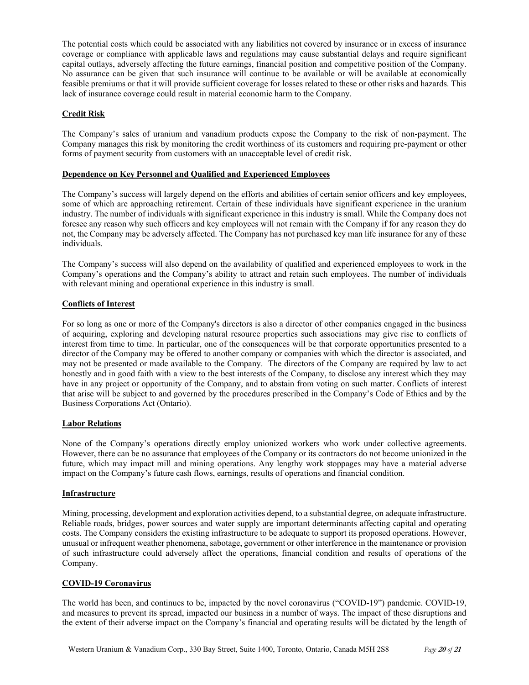The potential costs which could be associated with any liabilities not covered by insurance or in excess of insurance coverage or compliance with applicable laws and regulations may cause substantial delays and require significant capital outlays, adversely affecting the future earnings, financial position and competitive position of the Company. No assurance can be given that such insurance will continue to be available or will be available at economically feasible premiums or that it will provide sufficient coverage for losses related to these or other risks and hazards. This lack of insurance coverage could result in material economic harm to the Company.

# **Credit Risk**

The Company's sales of uranium and vanadium products expose the Company to the risk of non-payment. The Company manages this risk by monitoring the credit worthiness of its customers and requiring pre-payment or other forms of payment security from customers with an unacceptable level of credit risk.

## **Dependence on Key Personnel and Qualified and Experienced Employees**

The Company's success will largely depend on the efforts and abilities of certain senior officers and key employees, some of which are approaching retirement. Certain of these individuals have significant experience in the uranium industry. The number of individuals with significant experience in this industry is small. While the Company does not foresee any reason why such officers and key employees will not remain with the Company if for any reason they do not, the Company may be adversely affected. The Company has not purchased key man life insurance for any of these individuals.

The Company's success will also depend on the availability of qualified and experienced employees to work in the Company's operations and the Company's ability to attract and retain such employees. The number of individuals with relevant mining and operational experience in this industry is small.

# **Conflicts of Interest**

For so long as one or more of the Company's directors is also a director of other companies engaged in the business of acquiring, exploring and developing natural resource properties such associations may give rise to conflicts of interest from time to time. In particular, one of the consequences will be that corporate opportunities presented to a director of the Company may be offered to another company or companies with which the director is associated, and may not be presented or made available to the Company. The directors of the Company are required by law to act honestly and in good faith with a view to the best interests of the Company, to disclose any interest which they may have in any project or opportunity of the Company, and to abstain from voting on such matter. Conflicts of interest that arise will be subject to and governed by the procedures prescribed in the Company's Code of Ethics and by the Business Corporations Act (Ontario).

## **Labor Relations**

None of the Company's operations directly employ unionized workers who work under collective agreements. However, there can be no assurance that employees of the Company or its contractors do not become unionized in the future, which may impact mill and mining operations. Any lengthy work stoppages may have a material adverse impact on the Company's future cash flows, earnings, results of operations and financial condition.

## **Infrastructure**

Mining, processing, development and exploration activities depend, to a substantial degree, on adequate infrastructure. Reliable roads, bridges, power sources and water supply are important determinants affecting capital and operating costs. The Company considers the existing infrastructure to be adequate to support its proposed operations. However, unusual or infrequent weather phenomena, sabotage, government or other interference in the maintenance or provision of such infrastructure could adversely affect the operations, financial condition and results of operations of the Company.

## **COVID-19 Coronavirus**

The world has been, and continues to be, impacted by the novel coronavirus ("COVID-19") pandemic. COVID-19, and measures to prevent its spread, impacted our business in a number of ways. The impact of these disruptions and the extent of their adverse impact on the Company's financial and operating results will be dictated by the length of